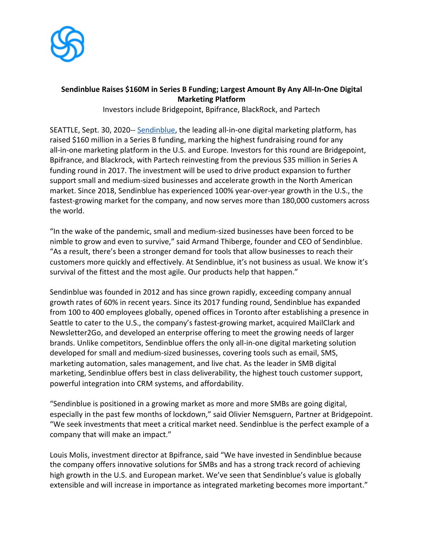

# **Sendinblue Raises \$160M in Series B Funding; Largest Amount By Any All-In-One Digital Marketing Platform**

Investors include Bridgepoint, Bpifrance, BlackRock, and Partech

SEATTLE, Sept. 30, 2020-- [Sendinblue,](https://www.sendinblue.com/?utm_source=adwords_brand&utm_medium=lastclick&utm_content=SendinBlue&utm_extension&utm_term=sendinblue&utm_matchtype=e&utm_campaign=1009143515&utm_network=g&km_adid=355470527163&km_adposition&km_device=c&utm_adgroupid=48429258423&gclid=CjwKCAjwwab7BRBAEiwAapqpTB2qP-AB817RmigqBqxNO05b_hVFgKz3qnwKGNtQTfAO0JU_0cBbsBoCnhUQAvD_BwE) the leading all-in-one digital marketing platform, has raised \$160 million in a Series B funding, marking the highest fundraising round for any all-in-one marketing platform in the U.S. and Europe. Investors for this round are Bridgepoint, Bpifrance, and Blackrock, with Partech reinvesting from the previous \$35 million in Series A funding round in 2017. The investment will be used to drive product expansion to further support small and medium-sized businesses and accelerate growth in the North American market. Since 2018, Sendinblue has experienced 100% year-over-year growth in the U.S., the fastest-growing market for the company, and now serves more than 180,000 customers across the world.

"In the wake of the pandemic, small and medium-sized businesses have been forced to be nimble to grow and even to survive," said Armand Thiberge, founder and CEO of Sendinblue. "As a result, there's been a stronger demand for tools that allow businesses to reach their customers more quickly and effectively. At Sendinblue, it's not business as usual. We know it's survival of the fittest and the most agile. Our products help that happen."

Sendinblue was founded in 2012 and has since grown rapidly, exceeding company annual growth rates of 60% in recent years. Since its 2017 funding round, Sendinblue has expanded from 100 to 400 employees globally, opened offices in Toronto after establishing a presence in Seattle to cater to the U.S., the company's fastest-growing market, acquired MailClark and Newsletter2Go, and developed an enterprise offering to meet the growing needs of larger brands. Unlike competitors, Sendinblue offers the only all-in-one digital marketing solution developed for small and medium-sized businesses, covering tools such as email, SMS, marketing automation, sales management, and live chat. As the leader in SMB digital marketing, Sendinblue offers best in class deliverability, the highest touch customer support, powerful integration into CRM systems, and affordability.

"Sendinblue is positioned in a growing market as more and more SMBs are going digital, especially in the past few months of lockdown," said Olivier Nemsguern, Partner at Bridgepoint. "We seek investments that meet a critical market need. Sendinblue is the perfect example of a company that will make an impact."

Louis Molis, investment director at Bpifrance, said "We have invested in Sendinblue because the company offers innovative solutions for SMBs and has a strong track record of achieving high growth in the U.S. and European market. We've seen that Sendinblue's value is globally extensible and will increase in importance as integrated marketing becomes more important."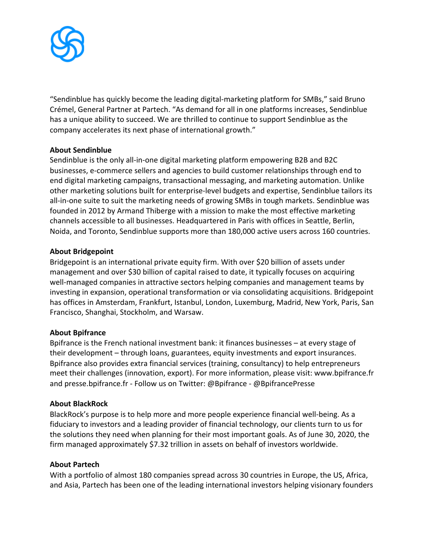

"Sendinblue has quickly become the leading digital-marketing platform for SMBs," said Bruno Crémel, General Partner at Partech. "As demand for all in one platforms increases, Sendinblue has a unique ability to succeed. We are thrilled to continue to support Sendinblue as the company accelerates its next phase of international growth."

### **About Sendinblue**

Sendinblue is the only all-in-one digital marketing platform empowering B2B and B2C businesses, e-commerce sellers and agencies to build customer relationships through end to end digital marketing campaigns, transactional messaging, and marketing automation. Unlike other marketing solutions built for enterprise-level budgets and expertise, Sendinblue tailors its all-in-one suite to suit the marketing needs of growing SMBs in tough markets. Sendinblue was founded in 2012 by Armand Thiberge with a mission to make the most effective marketing channels accessible to all businesses. Headquartered in Paris with offices in Seattle, Berlin, Noida, and Toronto, Sendinblue supports more than 180,000 active users across 160 countries.

## **About Bridgepoint**

Bridgepoint is an international private equity firm. With over \$20 billion of assets under management and over \$30 billion of capital raised to date, it typically focuses on acquiring well-managed companies in attractive sectors helping companies and management teams by investing in expansion, operational transformation or via consolidating acquisitions. Bridgepoint has offices in Amsterdam, Frankfurt, Istanbul, London, Luxemburg, Madrid, New York, Paris, San Francisco, Shanghai, Stockholm, and Warsaw.

### **About Bpifrance**

Bpifrance is the French national investment bank: it finances businesses – at every stage of their development – through loans, guarantees, equity investments and export insurances. Bpifrance also provides extra financial services (training, consultancy) to help entrepreneurs meet their challenges (innovation, export). For more information, please visit: [www.bpifrance.fr](http://www.bpifrance.fr/) and [presse.bpifrance.fr](http://presse.bpifrance.fr/) - Follow us on Twitter: @Bpifrance - @BpifrancePresse

### **About BlackRock**

BlackRock's purpose is to help more and more people experience financial well-being. As a fiduciary to investors and a leading provider of financial technology, our clients turn to us for the solutions they need when planning for their most important goals. As of June 30, 2020, the firm managed approximately \$7.32 trillion in assets on behalf of investors worldwide.

### **About Partech**

With a portfolio of almost 180 companies spread across 30 countries in Europe, the US, Africa, and Asia, Partech has been one of the leading international investors helping visionary founders